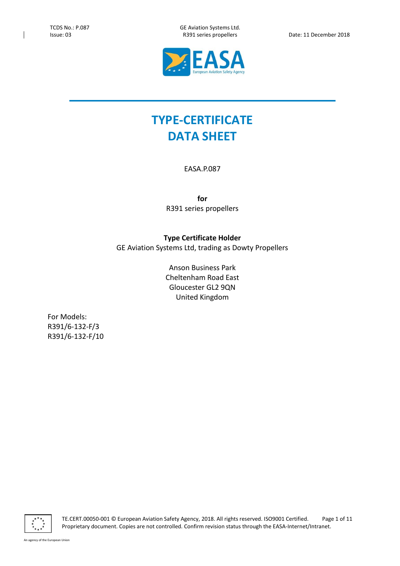TCDS No.: P.087 GE Aviation Systems Ltd.<br>
Issue: 03 GE Aviation Systems Ltd.<br>
R391 series propellers



# **TYPE-CERTIFICATE DATA SHEET**

EASA.P.087

**for** R391 series propellers

**Type Certificate Holder** GE Aviation Systems Ltd, trading as Dowty Propellers

> Anson Business Park Cheltenham Road East Gloucester GL2 9QN United Kingdom

For Models: R391/6-132-F/3 R391/6-132-F/10



TE.CERT.00050-001 © European Aviation Safety Agency, 2018. All rights reserved. ISO9001 Certified. Page 1 of 11 Proprietary document. Copies are not controlled. Confirm revision status through the EASA-Internet/Intranet.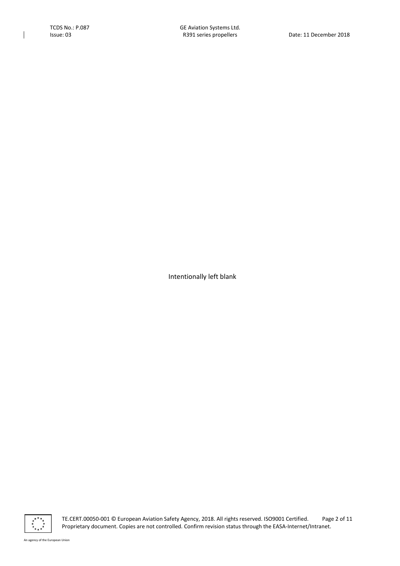Intentionally left blank



TE.CERT.00050-001 © European Aviation Safety Agency, 2018. All rights reserved. ISO9001 Certified. Page 2 of 11 Proprietary document. Copies are not controlled. Confirm revision status through the EASA-Internet/Intranet.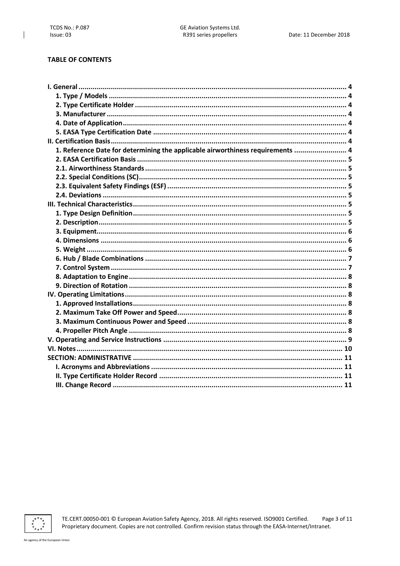# **TABLE OF CONTENTS**

| 1. Reference Date for determining the applicable airworthiness requirements  4 |  |
|--------------------------------------------------------------------------------|--|
|                                                                                |  |
|                                                                                |  |
|                                                                                |  |
|                                                                                |  |
|                                                                                |  |
|                                                                                |  |
|                                                                                |  |
|                                                                                |  |
|                                                                                |  |
|                                                                                |  |
|                                                                                |  |
|                                                                                |  |
|                                                                                |  |
|                                                                                |  |
|                                                                                |  |
|                                                                                |  |
|                                                                                |  |
|                                                                                |  |
|                                                                                |  |
|                                                                                |  |
|                                                                                |  |
|                                                                                |  |
|                                                                                |  |
|                                                                                |  |
|                                                                                |  |
|                                                                                |  |
|                                                                                |  |

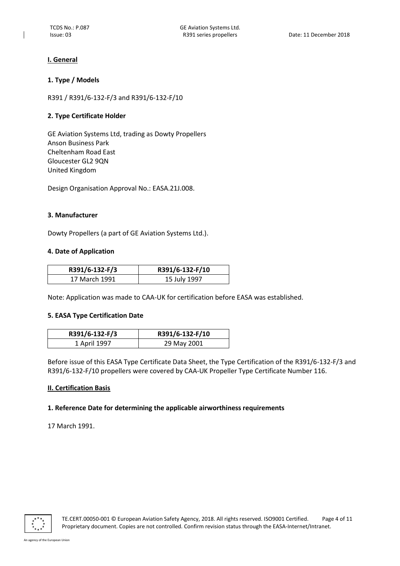## <span id="page-3-0"></span>**I. General**

### <span id="page-3-1"></span>**1. Type / Models**

R391 / R391/6-132-F/3 and R391/6-132-F/10

### <span id="page-3-2"></span>**2. Type Certificate Holder**

GE Aviation Systems Ltd, trading as Dowty Propellers Anson Business Park Cheltenham Road East Gloucester GL2 9QN United Kingdom

Design Organisation Approval No.: EASA.21J.008.

#### <span id="page-3-3"></span>**3. Manufacturer**

Dowty Propellers (a part of GE Aviation Systems Ltd.).

#### <span id="page-3-4"></span>**4. Date of Application**

| R391/6-132-F/3 | R391/6-132-F/10 |
|----------------|-----------------|
| 17 March 1991  | 15 July 1997    |

<span id="page-3-5"></span>Note: Application was made to CAA-UK for certification before EASA was established.

#### **5. EASA Type Certification Date**

| R391/6-132-F/3 | R391/6-132-F/10 |
|----------------|-----------------|
| 1 April 1997   | 29 May 2001     |

Before issue of this EASA Type Certificate Data Sheet, the Type Certification of the R391/6-132-F/3 and R391/6-132-F/10 propellers were covered by CAA-UK Propeller Type Certificate Number 116.

## <span id="page-3-6"></span>**II. Certification Basis**

## <span id="page-3-7"></span>**1. Reference Date for determining the applicable airworthiness requirements**

17 March 1991.

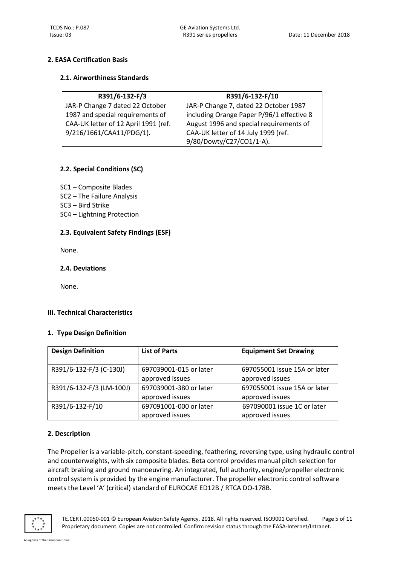# <span id="page-4-0"></span>**2. EASA Certification Basis**

# <span id="page-4-1"></span>**2.1. Airworthiness Standards**

| R391/6-132-F/3                       | R391/6-132-F/10                           |
|--------------------------------------|-------------------------------------------|
| JAR-P Change 7 dated 22 October      | JAR-P Change 7, dated 22 October 1987     |
| 1987 and special requirements of     | including Orange Paper P/96/1 effective 8 |
| CAA-UK letter of 12 April 1991 (ref. | August 1996 and special requirements of   |
| 9/216/1661/CAA11/PDG/1).             | CAA-UK letter of 14 July 1999 (ref.       |
|                                      | 9/80/Dowty/C27/CO1/1-A).                  |

# <span id="page-4-2"></span>**2.2. Special Conditions (SC)**

SC1 – Composite Blades

- SC2 The Failure Analysis
- SC3 Bird Strike
- SC4 Lightning Protection

# <span id="page-4-3"></span>**2.3. Equivalent Safety Findings (ESF)**

None.

# <span id="page-4-4"></span>**2.4. Deviations**

None.

# <span id="page-4-5"></span>**III. Technical Characteristics**

## <span id="page-4-6"></span>**1. Type Design Definition**

| <b>Design Definition</b> | <b>List of Parts</b>                      | <b>Equipment Set Drawing</b>                    |
|--------------------------|-------------------------------------------|-------------------------------------------------|
| R391/6-132-F/3 (C-130J)  | 697039001-015 or later<br>approved issues | 697055001 issue 15A or later<br>approved issues |
| R391/6-132-F/3 (LM-100J) | 697039001-380 or later<br>approved issues | 697055001 issue 15A or later<br>approved issues |
| R391/6-132-F/10          | 697091001-000 or later<br>approved issues | 697090001 issue 1C or later<br>approved issues  |

# <span id="page-4-7"></span>**2. Description**

The Propeller is a variable-pitch, constant-speeding, feathering, reversing type, using hydraulic control and counterweights, with six composite blades. Beta control provides manual pitch selection for aircraft braking and ground manoeuvring. An integrated, full authority, engine/propeller electronic control system is provided by the engine manufacturer. The propeller electronic control software meets the Level 'A' (critical) standard of EUROCAE ED12B / RTCA DO-178B.

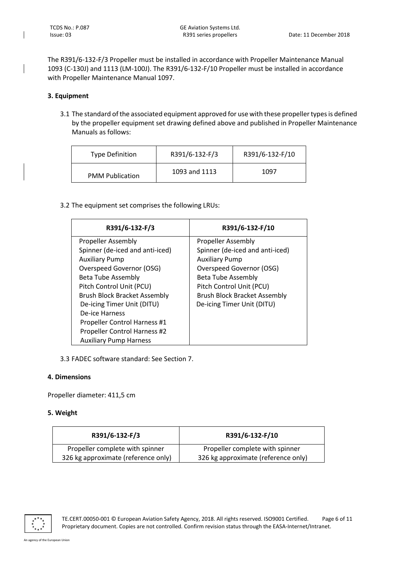The R391/6-132-F/3 Propeller must be installed in accordance with Propeller Maintenance Manual 1093 (C-130J) and 1113 (LM-100J). The R391/6-132-F/10 Propeller must be installed in accordance with Propeller Maintenance Manual 1097.

## <span id="page-5-0"></span>**3. Equipment**

3.1 The standard of the associated equipment approved for use with these propeller types is defined by the propeller equipment set drawing defined above and published in Propeller Maintenance Manuals as follows:

| Type Definition        | R391/6-132-F/3 | R391/6-132-F/10 |
|------------------------|----------------|-----------------|
| <b>PMM Publication</b> | 1093 and 1113  | 1097            |

# 3.2 The equipment set comprises the following LRUs:

| R391/6-132-F/3                      | R391/6-132-F/10                     |
|-------------------------------------|-------------------------------------|
| <b>Propeller Assembly</b>           | <b>Propeller Assembly</b>           |
| Spinner (de-iced and anti-iced)     | Spinner (de-iced and anti-iced)     |
| <b>Auxiliary Pump</b>               | <b>Auxiliary Pump</b>               |
| Overspeed Governor (OSG)            | Overspeed Governor (OSG)            |
| <b>Beta Tube Assembly</b>           | <b>Beta Tube Assembly</b>           |
| Pitch Control Unit (PCU)            | Pitch Control Unit (PCU)            |
| <b>Brush Block Bracket Assembly</b> | <b>Brush Block Bracket Assembly</b> |
| De-icing Timer Unit (DITU)          | De-icing Timer Unit (DITU)          |
| De-ice Harness                      |                                     |
| Propeller Control Harness #1        |                                     |
| Propeller Control Harness #2        |                                     |
| <b>Auxiliary Pump Harness</b>       |                                     |

3.3 FADEC software standard: See Section 7.

## <span id="page-5-1"></span>**4. Dimensions**

Propeller diameter: 411,5 cm

## <span id="page-5-2"></span>**5. Weight**

| R391/6-132-F/3                      | R391/6-132-F/10                     |
|-------------------------------------|-------------------------------------|
| Propeller complete with spinner     | Propeller complete with spinner     |
| 326 kg approximate (reference only) | 326 kg approximate (reference only) |



TE.CERT.00050-001 © European Aviation Safety Agency, 2018. All rights reserved. ISO9001 Certified. Page 6 of 11 Proprietary document. Copies are not controlled. Confirm revision status through the EASA-Internet/Intranet.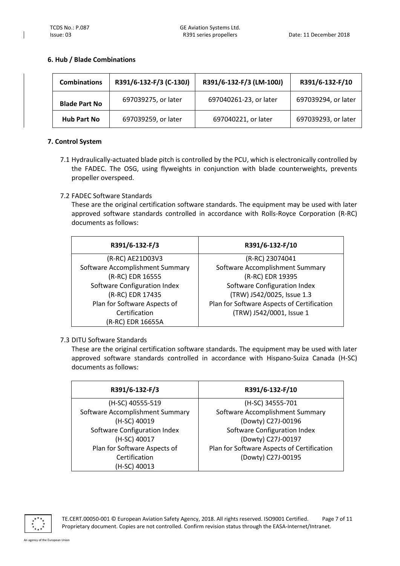## <span id="page-6-0"></span>**6. Hub / Blade Combinations**

| <b>Combinations</b>  | R391/6-132-F/3 (C-130J) | R391/6-132-F/3 (LM-100J) | R391/6-132-F/10     |
|----------------------|-------------------------|--------------------------|---------------------|
| <b>Blade Part No</b> | 697039275, or later     | 697040261-23, or later   | 697039294, or later |
| <b>Hub Part No</b>   | 697039259, or later     | 697040221, or later      | 697039293, or later |

# <span id="page-6-1"></span>**7. Control System**

7.1 Hydraulically-actuated blade pitch is controlled by the PCU, which is electronically controlled by the FADEC. The OSG, using flyweights in conjunction with blade counterweights, prevents propeller overspeed.

# 7.2 FADEC Software Standards

These are the original certification software standards. The equipment may be used with later approved software standards controlled in accordance with Rolls-Royce Corporation (R-RC) documents as follows:

| R391/6-132-F/3                  | R391/6-132-F/10                            |
|---------------------------------|--------------------------------------------|
| (R-RC) AE21D03V3                | (R-RC) 23074041                            |
| Software Accomplishment Summary | Software Accomplishment Summary            |
| (R-RC) EDR 16555                | (R-RC) EDR 19395                           |
| Software Configuration Index    | Software Configuration Index               |
| (R-RC) EDR 17435                | (TRW) J542/0025, Issue 1.3                 |
| Plan for Software Aspects of    | Plan for Software Aspects of Certification |
| Certification                   | (TRW) J542/0001, Issue 1                   |
| (R-RC) EDR 16655A               |                                            |

# 7.3 DITU Software Standards

These are the original certification software standards. The equipment may be used with later approved software standards controlled in accordance with Hispano-Suiza Canada (H-SC) documents as follows:

| R391/6-132-F/3                  | R391/6-132-F/10                            |
|---------------------------------|--------------------------------------------|
| (H-SC) 40555-519                | (H-SC) 34555-701                           |
| Software Accomplishment Summary | Software Accomplishment Summary            |
| (H-SC) 40019                    | (Dowty) C27J-00196                         |
| Software Configuration Index    | Software Configuration Index               |
| (H-SC) 40017                    | (Dowty) C27J-00197                         |
| Plan for Software Aspects of    | Plan for Software Aspects of Certification |
| Certification                   | (Dowty) C27J-00195                         |
| (H-SC) 40013                    |                                            |



TE.CERT.00050-001 © European Aviation Safety Agency, 2018. All rights reserved. ISO9001 Certified. Page 7 of 11 Proprietary document. Copies are not controlled. Confirm revision status through the EASA-Internet/Intranet.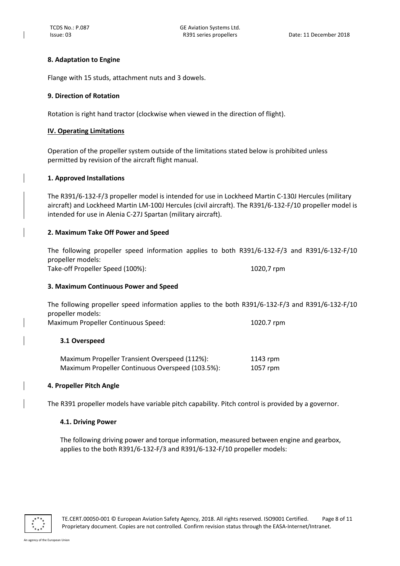## <span id="page-7-0"></span>**8. Adaptation to Engine**

Flange with 15 studs, attachment nuts and 3 dowels.

# <span id="page-7-1"></span>**9. Direction of Rotation**

<span id="page-7-2"></span>Rotation is right hand tractor (clockwise when viewed in the direction of flight).

## **IV. Operating Limitations**

Operation of the propeller system outside of the limitations stated below is prohibited unless permitted by revision of the aircraft flight manual.

# **1. Approved Installations**

The R391/6-132-F/3 propeller model is intended for use in Lockheed Martin C-130J Hercules (military aircraft) and Lockheed Martin LM-100J Hercules (civil aircraft). The R391/6-132-F/10 propeller model is intended for use in Alenia C-27J Spartan (military aircraft).

# **2. Maximum Take Off Power and Speed**

The following propeller speed information applies to both R391/6-132-F/3 and R391/6-132-F/10 propeller models: Take-off Propeller Speed (100%): 1020,7 rpm

# **3. Maximum Continuous Power and Speed**

The following propeller speed information applies to the both R391/6-132-F/3 and R391/6-132-F/10 propeller models: Maximum Propeller Continuous Speed: 1020.7 rpm

## **3.1 Overspeed**

| Maximum Propeller Transient Overspeed (112%):    | $1143$ rpm |
|--------------------------------------------------|------------|
| Maximum Propeller Continuous Overspeed (103.5%): | 1057 rpm   |

## **4. Propeller Pitch Angle**

The R391 propeller models have variable pitch capability. Pitch control is provided by a governor.

## <span id="page-7-3"></span>**4.1. Driving Power**

The following driving power and torque information, measured between engine and gearbox, applies to the both R391/6-132-F/3 and R391/6-132-F/10 propeller models:

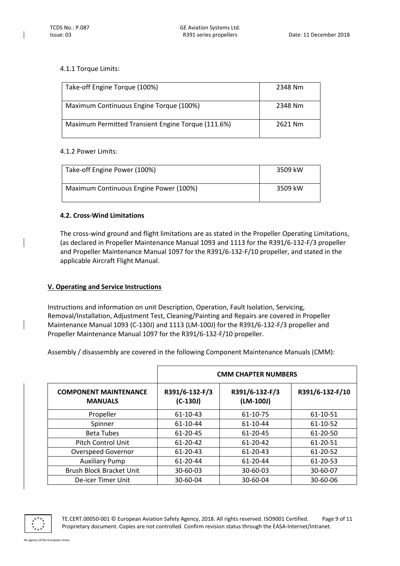# 4.1.1 Torque Limits:

| Take-off Engine Torque (100%)                      | 2348 Nm |
|----------------------------------------------------|---------|
| Maximum Continuous Engine Torque (100%)            | 2348 Nm |
| Maximum Permitted Transient Engine Torque (111.6%) | 2621 Nm |

# 4.1.2 Power Limits:

| Take-off Engine Power (100%)           | 3509 kW |
|----------------------------------------|---------|
| Maximum Continuous Engine Power (100%) | 3509 kW |

# <span id="page-8-0"></span>**4.2. Cross-Wind Limitations**

The cross-wind ground and flight limitations are as stated in the Propeller Operating Limitations, (as declared in Propeller Maintenance Manual 1093 and 1113 for the R391/6-132-F/3 propeller and Propeller Maintenance Manual 1097 for the R391/6-132-F/10 propeller, and stated in the applicable Aircraft Flight Manual.

# <span id="page-8-1"></span>**V. Operating and Service Instructions**

Instructions and information on unit Description, Operation, Fault Isolation, Servicing, Removal/Installation, Adjustment Test, Cleaning/Painting and Repairs are covered in Propeller Maintenance Manual 1093 (C-130J) and 1113 (LM-100J) for the R391/6-132-F/3 propeller and Propeller Maintenance Manual 1097 for the R391/6-132-F/10 propeller.

Assembly / disassembly are covered in the following Component Maintenance Manuals (CMM):

|                                                | <b>CMM CHAPTER NUMBERS</b>   |                               |                 |
|------------------------------------------------|------------------------------|-------------------------------|-----------------|
| <b>COMPONENT MAINTENANCE</b><br><b>MANUALS</b> | R391/6-132-F/3<br>$(C-130J)$ | R391/6-132-F/3<br>$(LM-100J)$ | R391/6-132-F/10 |
| Propeller                                      | 61-10-43                     | 61-10-75                      | 61-10-51        |
| Spinner                                        | 61-10-44                     | 61-10-44                      | 61-10-52        |
| <b>Beta Tubes</b>                              | 61-20-45                     | 61-20-45                      | 61-20-50        |
| <b>Pitch Control Unit</b>                      | 61-20-42                     | 61-20-42                      | 61-20-51        |
| <b>Overspeed Governor</b>                      | $61 - 20 - 43$               | $61 - 20 - 43$                | 61-20-52        |
| <b>Auxiliary Pump</b>                          | 61-20-44                     | 61-20-44                      | 61-20-53        |
| <b>Brush Block Bracket Unit</b>                | 30-60-03                     | 30-60-03                      | 30-60-07        |
| De-icer Timer Unit                             | 30-60-04                     | 30-60-04                      | 30-60-06        |



TE.CERT.00050-001 © European Aviation Safety Agency, 2018. All rights reserved. ISO9001 Certified. Page 9 of 11 Proprietary document. Copies are not controlled. Confirm revision status through the EASA-Internet/Intranet.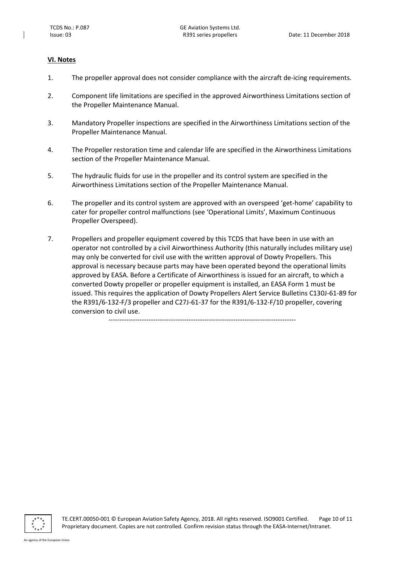#### <span id="page-9-0"></span>**VI. Notes**

- 1. The propeller approval does not consider compliance with the aircraft de-icing requirements.
- 2. Component life limitations are specified in the approved Airworthiness Limitations section of the Propeller Maintenance Manual.
- 3. Mandatory Propeller inspections are specified in the Airworthiness Limitations section of the Propeller Maintenance Manual.
- 4. The Propeller restoration time and calendar life are specified in the Airworthiness Limitations section of the Propeller Maintenance Manual.
- 5. The hydraulic fluids for use in the propeller and its control system are specified in the Airworthiness Limitations section of the Propeller Maintenance Manual.
- 6. The propeller and its control system are approved with an overspeed 'get-home' capability to cater for propeller control malfunctions (see 'Operational Limits', Maximum Continuous Propeller Overspeed).
- 7. Propellers and propeller equipment covered by this TCDS that have been in use with an operator not controlled by a civil Airworthiness Authority (this naturally includes military use) may only be converted for civil use with the written approval of Dowty Propellers. This approval is necessary because parts may have been operated beyond the operational limits approved by EASA. Before a Certificate of Airworthiness is issued for an aircraft, to which a converted Dowty propeller or propeller equipment is installed, an EASA Form 1 must be issued. This requires the application of Dowty Propellers Alert Service Bulletins C130J-61-89 for the R391/6-132-F/3 propeller and C27J-61-37 for the R391/6-132-F/10 propeller, covering conversion to civil use.

------------------------------------------------------------------------------------